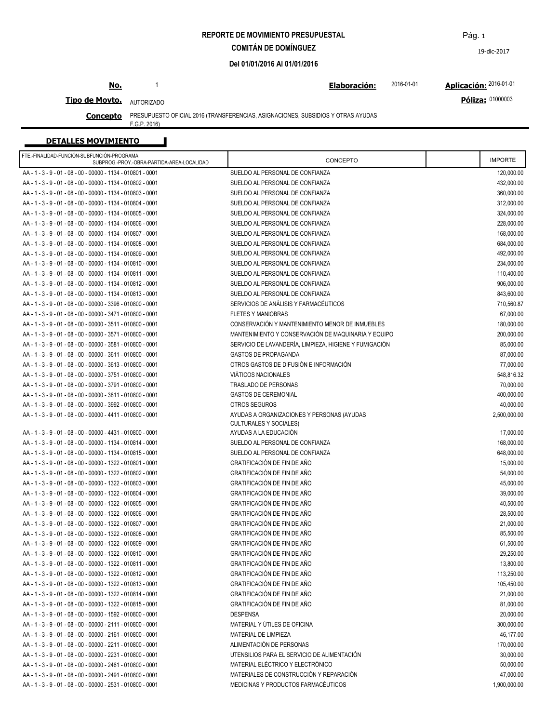**REPORTE DE MOVIMIENTO PRESUPUESTAL**

**COMITÁN DE DOMÍNGUEZ**

**Del 01/01/2016 Al 01/01/2016**

## **No.**

1 **Elaboración: Aplicación:** 2016-01-01 2016-01-01

**Póliza:** 01000003

**Tipo de Movto.** AUTORIZADO

**Concepto** PRESUPUESTO OFICIAL 2016 (TRANSFERENCIAS, ASIGNACIONES, SUBSIDIOS Y OTRAS AYUDAS

F.G.P. 2016)

| <b>DETALLES MOVIMIENTO</b>                                                               |                                                        |                |  |
|------------------------------------------------------------------------------------------|--------------------------------------------------------|----------------|--|
| FTE.-FINALIDAD-FUNCIÓN-SUBFUNCIÓN-PROGRAMA<br>SUBPROG.-PROY.-OBRA-PARTIDA-AREA-LOCALIDAD | CONCEPTO                                               | <b>IMPORTE</b> |  |
| AA - 1 - 3 - 9 - 01 - 08 - 00 - 00000 - 1134 - 010801 - 0001                             | SUELDO AL PERSONAL DE CONFIANZA                        | 120,000.00     |  |
| AA - 1 - 3 - 9 - 01 - 08 - 00 - 00000 - 1134 - 010802 - 0001                             | SUELDO AL PERSONAL DE CONFIANZA                        | 432,000.00     |  |
| AA - 1 - 3 - 9 - 01 - 08 - 00 - 00000 - 1134 - 010803 - 0001                             | SUELDO AL PERSONAL DE CONFIANZA                        | 360,000.00     |  |
| AA - 1 - 3 - 9 - 01 - 08 - 00 - 00000 - 1134 - 010804 - 0001                             | SUELDO AL PERSONAL DE CONFIANZA                        | 312,000.00     |  |
| AA - 1 - 3 - 9 - 01 - 08 - 00 - 00000 - 1134 - 010805 - 0001                             | SUELDO AL PERSONAL DE CONFIANZA                        | 324,000.00     |  |
| AA - 1 - 3 - 9 - 01 - 08 - 00 - 00000 - 1134 - 010806 - 0001                             | SUELDO AL PERSONAL DE CONFIANZA                        | 228,000.00     |  |
| AA - 1 - 3 - 9 - 01 - 08 - 00 - 00000 - 1134 - 010807 - 0001                             | SUELDO AL PERSONAL DE CONFIANZA                        | 168,000.00     |  |
| AA - 1 - 3 - 9 - 01 - 08 - 00 - 00000 - 1134 - 010808 - 0001                             | SUELDO AL PERSONAL DE CONFIANZA                        | 684,000.00     |  |
| AA - 1 - 3 - 9 - 01 - 08 - 00 - 00000 - 1134 - 010809 - 0001                             | SUELDO AL PERSONAL DE CONFIANZA                        | 492,000.00     |  |
| AA - 1 - 3 - 9 - 01 - 08 - 00 - 00000 - 1134 - 010810 - 0001                             | SUELDO AL PERSONAL DE CONFIANZA                        | 234,000.00     |  |
| AA - 1 - 3 - 9 - 01 - 08 - 00 - 00000 - 1134 - 010811 - 0001                             | SUELDO AL PERSONAL DE CONFIANZA                        | 110,400.00     |  |
| AA - 1 - 3 - 9 - 01 - 08 - 00 - 00000 - 1134 - 010812 - 0001                             | SUELDO AL PERSONAL DE CONFIANZA                        | 906,000.00     |  |
| AA - 1 - 3 - 9 - 01 - 08 - 00 - 00000 - 1134 - 010813 - 0001                             | SUELDO AL PERSONAL DE CONFIANZA                        | 843,600.00     |  |
| AA - 1 - 3 - 9 - 01 - 08 - 00 - 00000 - 3396 - 010800 - 0001                             | SERVICIOS DE ANÁLISIS Y FARMACÉUTICOS                  | 710,560.87     |  |
| AA - 1 - 3 - 9 - 01 - 08 - 00 - 00000 - 3471 - 010800 - 0001                             | <b>FLETES Y MANIOBRAS</b>                              | 67,000.00      |  |
| AA - 1 - 3 - 9 - 01 - 08 - 00 - 00000 - 3511 - 010800 - 0001                             | CONSERVACIÓN Y MANTENIMIENTO MENOR DE INMUEBLES        | 180,000.00     |  |
| AA - 1 - 3 - 9 - 01 - 08 - 00 - 00000 - 3571 - 010800 - 0001                             | MANTENIMIENTO Y CONSERVACIÓN DE MAQUINARIA Y EQUIPO    | 200,000.00     |  |
| AA - 1 - 3 - 9 - 01 - 08 - 00 - 00000 - 3581 - 010800 - 0001                             | SERVICIO DE LAVANDERÍA, LIMPIEZA, HIGIENE Y FUMIGACIÓN | 85,000.00      |  |
| AA - 1 - 3 - 9 - 01 - 08 - 00 - 00000 - 3611 - 010800 - 0001                             | <b>GASTOS DE PROPAGANDA</b>                            | 87,000.00      |  |
| AA - 1 - 3 - 9 - 01 - 08 - 00 - 00000 - 3613 - 010800 - 0001                             | OTROS GASTOS DE DIFUSIÓN E INFORMACIÓN                 |                |  |
| AA - 1 - 3 - 9 - 01 - 08 - 00 - 00000 - 3751 - 010800 - 0001                             |                                                        | 77,000.00      |  |
|                                                                                          | VIÁTICOS NACIONALES                                    | 548,816.32     |  |
| AA - 1 - 3 - 9 - 01 - 08 - 00 - 00000 - 3791 - 010800 - 0001                             | TRASLADO DE PERSONAS                                   | 70,000.00      |  |
| AA - 1 - 3 - 9 - 01 - 08 - 00 - 00000 - 3811 - 010800 - 0001                             | <b>GASTOS DE CEREMONIAL</b>                            | 400.000.00     |  |
| AA - 1 - 3 - 9 - 01 - 08 - 00 - 00000 - 3992 - 010800 - 0001                             | OTROS SEGUROS                                          | 40,000.00      |  |
| AA - 1 - 3 - 9 - 01 - 08 - 00 - 00000 - 4411 - 010800 - 0001                             | AYUDAS A ORGANIZACIONES Y PERSONAS (AYUDAS             | 2,500,000.00   |  |
| AA - 1 - 3 - 9 - 01 - 08 - 00 - 00000 - 4431 - 010800 - 0001                             | <b>CULTURALES Y SOCIALES)</b><br>AYUDAS A LA EDUCACIÓN | 17,000.00      |  |
| AA - 1 - 3 - 9 - 01 - 08 - 00 - 00000 - 1134 - 010814 - 0001                             | SUELDO AL PERSONAL DE CONFIANZA                        | 168,000.00     |  |
| AA - 1 - 3 - 9 - 01 - 08 - 00 - 00000 - 1134 - 010815 - 0001                             | SUELDO AL PERSONAL DE CONFIANZA                        | 648,000.00     |  |
| AA - 1 - 3 - 9 - 01 - 08 - 00 - 00000 - 1322 - 010801 - 0001                             | GRATIFICACIÓN DE FIN DE AÑO                            | 15,000.00      |  |
|                                                                                          |                                                        |                |  |
| AA - 1 - 3 - 9 - 01 - 08 - 00 - 00000 - 1322 - 010802 - 0001                             | GRATIFICACIÓN DE FIN DE AÑO                            | 54,000.00      |  |
| AA - 1 - 3 - 9 - 01 - 08 - 00 - 00000 - 1322 - 010803 - 0001                             | GRATIFICACIÓN DE FIN DE AÑO                            | 45,000.00      |  |
| AA - 1 - 3 - 9 - 01 - 08 - 00 - 00000 - 1322 - 010804 - 0001                             | GRATIFICACIÓN DE FIN DE AÑO                            | 39,000.00      |  |
| AA - 1 - 3 - 9 - 01 - 08 - 00 - 00000 - 1322 - 010805 - 0001                             | GRATIFICACIÓN DE FIN DE AÑO                            | 40,500.00      |  |
| AA - 1 - 3 - 9 - 01 - 08 - 00 - 00000 - 1322 - 010806 - 0001                             | GRATIFICACIÓN DE FIN DE AÑO                            | 28,500.00      |  |
| AA - 1 - 3 - 9 - 01 - 08 - 00 - 00000 - 1322 - 010807 - 0001                             | GRATIFICACIÓN DE FIN DE AÑO                            | 21,000.00      |  |
| AA - 1 - 3 - 9 - 01 - 08 - 00 - 00000 - 1322 - 010808 - 0001                             | GRATIFICACIÓN DE FIN DE AÑO                            | 85,500.00      |  |
| AA - 1 - 3 - 9 - 01 - 08 - 00 - 00000 - 1322 - 010809 - 0001                             | GRATIFICACIÓN DE FIN DE AÑO                            | 61,500.00      |  |
| AA - 1 - 3 - 9 - 01 - 08 - 00 - 00000 - 1322 - 010810 - 0001                             | GRATIFICACIÓN DE FIN DE AÑO                            | 29,250.00      |  |
| AA - 1 - 3 - 9 - 01 - 08 - 00 - 00000 - 1322 - 010811 - 0001                             | GRATIFICACIÓN DE FIN DE AÑO                            | 13,800.00      |  |
| AA - 1 - 3 - 9 - 01 - 08 - 00 - 00000 - 1322 - 010812 - 0001                             | GRATIFICACIÓN DE FIN DE AÑO                            | 113,250.00     |  |
| AA - 1 - 3 - 9 - 01 - 08 - 00 - 00000 - 1322 - 010813 - 0001                             | GRATIFICACIÓN DE FIN DE AÑO                            | 105,450.00     |  |
| AA - 1 - 3 - 9 - 01 - 08 - 00 - 00000 - 1322 - 010814 - 0001                             | GRATIFICACIÓN DE FIN DE AÑO                            | 21,000.00      |  |
| AA - 1 - 3 - 9 - 01 - 08 - 00 - 00000 - 1322 - 010815 - 0001                             | GRATIFICACIÓN DE FIN DE AÑO                            | 81,000.00      |  |
| AA - 1 - 3 - 9 - 01 - 08 - 00 - 00000 - 1592 - 010800 - 0001                             | <b>DESPENSA</b>                                        | 20,000.00      |  |
| AA - 1 - 3 - 9 - 01 - 08 - 00 - 00000 - 2111 - 010800 - 0001                             | MATERIAL Y ÚTILES DE OFICINA                           | 300,000.00     |  |
| AA - 1 - 3 - 9 - 01 - 08 - 00 - 00000 - 2161 - 010800 - 0001                             | MATERIAL DE LIMPIEZA                                   | 46,177.00      |  |
| AA - 1 - 3 - 9 - 01 - 08 - 00 - 00000 - 2211 - 010800 - 0001                             | ALIMENTACIÓN DE PERSONAS                               | 170,000.00     |  |
| AA - 1 - 3 - 9 - 01 - 08 - 00 - 00000 - 2231 - 010800 - 0001                             | UTENSILIOS PARA EL SERVICIO DE ALIMENTACIÓN            | 30,000.00      |  |
| AA - 1 - 3 - 9 - 01 - 08 - 00 - 00000 - 2461 - 010800 - 0001                             | MATERIAL ELÉCTRICO Y ELECTRÓNICO                       | 50,000.00      |  |
| AA - 1 - 3 - 9 - 01 - 08 - 00 - 00000 - 2491 - 010800 - 0001                             | MATERIALES DE CONSTRUCCIÓN Y REPARACIÓN                | 47,000.00      |  |
| AA - 1 - 3 - 9 - 01 - 08 - 00 - 00000 - 2531 - 010800 - 0001                             | MEDICINAS Y PRODUCTOS FARMACÉUTICOS                    | 1,900,000.00   |  |
|                                                                                          |                                                        |                |  |

Pág. 1

19-dic-2017